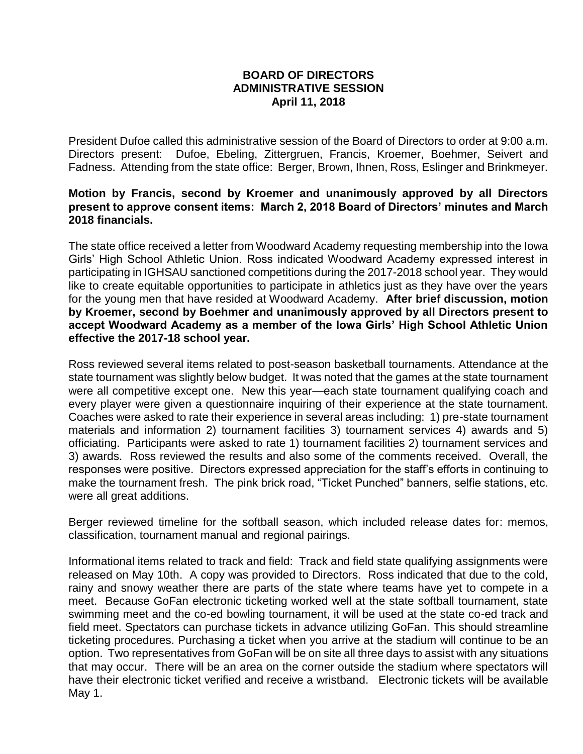## **BOARD OF DIRECTORS ADMINISTRATIVE SESSION April 11, 2018**

President Dufoe called this administrative session of the Board of Directors to order at 9:00 a.m. Directors present: Dufoe, Ebeling, Zittergruen, Francis, Kroemer, Boehmer, Seivert and Fadness. Attending from the state office: Berger, Brown, Ihnen, Ross, Eslinger and Brinkmeyer.

## **Motion by Francis, second by Kroemer and unanimously approved by all Directors present to approve consent items: March 2, 2018 Board of Directors' minutes and March 2018 financials.**

The state office received a letter from Woodward Academy requesting membership into the Iowa Girls' High School Athletic Union. Ross indicated Woodward Academy expressed interest in participating in IGHSAU sanctioned competitions during the 2017-2018 school year. They would like to create equitable opportunities to participate in athletics just as they have over the years for the young men that have resided at Woodward Academy. **After brief discussion, motion by Kroemer, second by Boehmer and unanimously approved by all Directors present to accept Woodward Academy as a member of the Iowa Girls' High School Athletic Union effective the 2017-18 school year.**

Ross reviewed several items related to post-season basketball tournaments. Attendance at the state tournament was slightly below budget. It was noted that the games at the state tournament were all competitive except one. New this year—each state tournament qualifying coach and every player were given a questionnaire inquiring of their experience at the state tournament. Coaches were asked to rate their experience in several areas including: 1) pre-state tournament materials and information 2) tournament facilities 3) tournament services 4) awards and 5) officiating. Participants were asked to rate 1) tournament facilities 2) tournament services and 3) awards. Ross reviewed the results and also some of the comments received. Overall, the responses were positive. Directors expressed appreciation for the staff's efforts in continuing to make the tournament fresh. The pink brick road, "Ticket Punched" banners, selfie stations, etc. were all great additions.

Berger reviewed timeline for the softball season, which included release dates for: memos, classification, tournament manual and regional pairings.

Informational items related to track and field: Track and field state qualifying assignments were released on May 10th. A copy was provided to Directors. Ross indicated that due to the cold, rainy and snowy weather there are parts of the state where teams have yet to compete in a meet. Because GoFan electronic ticketing worked well at the state softball tournament, state swimming meet and the co-ed bowling tournament, it will be used at the state co-ed track and field meet. Spectators can purchase tickets in advance utilizing GoFan. This should streamline ticketing procedures. Purchasing a ticket when you arrive at the stadium will continue to be an option. Two representatives from GoFan will be on site all three days to assist with any situations that may occur. There will be an area on the corner outside the stadium where spectators will have their electronic ticket verified and receive a wristband. Electronic tickets will be available May 1.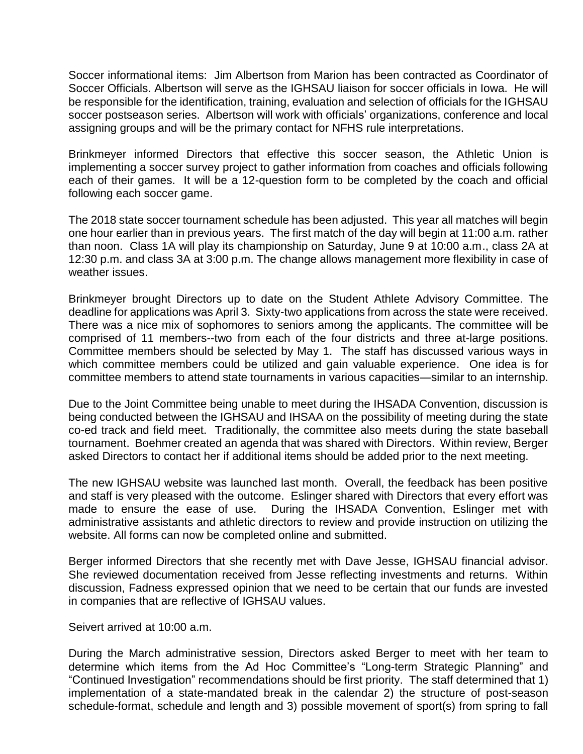Soccer informational items: Jim Albertson from Marion has been contracted as Coordinator of Soccer Officials. Albertson will serve as the IGHSAU liaison for soccer officials in Iowa. He will be responsible for the identification, training, evaluation and selection of officials for the IGHSAU soccer postseason series. Albertson will work with officials' organizations, conference and local assigning groups and will be the primary contact for NFHS rule interpretations.

Brinkmeyer informed Directors that effective this soccer season, the Athletic Union is implementing a soccer survey project to gather information from coaches and officials following each of their games. It will be a 12-question form to be completed by the coach and official following each soccer game.

The 2018 state soccer tournament schedule has been adjusted. This year all matches will begin one hour earlier than in previous years. The first match of the day will begin at 11:00 a.m. rather than noon. Class 1A will play its championship on Saturday, June 9 at 10:00 a.m., class 2A at 12:30 p.m. and class 3A at 3:00 p.m. The change allows management more flexibility in case of weather issues.

Brinkmeyer brought Directors up to date on the Student Athlete Advisory Committee. The deadline for applications was April 3. Sixty-two applications from across the state were received. There was a nice mix of sophomores to seniors among the applicants. The committee will be comprised of 11 members--two from each of the four districts and three at-large positions. Committee members should be selected by May 1. The staff has discussed various ways in which committee members could be utilized and gain valuable experience. One idea is for committee members to attend state tournaments in various capacities—similar to an internship.

Due to the Joint Committee being unable to meet during the IHSADA Convention, discussion is being conducted between the IGHSAU and IHSAA on the possibility of meeting during the state co-ed track and field meet. Traditionally, the committee also meets during the state baseball tournament. Boehmer created an agenda that was shared with Directors. Within review, Berger asked Directors to contact her if additional items should be added prior to the next meeting.

The new IGHSAU website was launched last month. Overall, the feedback has been positive and staff is very pleased with the outcome. Eslinger shared with Directors that every effort was made to ensure the ease of use. During the IHSADA Convention, Eslinger met with administrative assistants and athletic directors to review and provide instruction on utilizing the website. All forms can now be completed online and submitted.

Berger informed Directors that she recently met with Dave Jesse, IGHSAU financial advisor. She reviewed documentation received from Jesse reflecting investments and returns. Within discussion, Fadness expressed opinion that we need to be certain that our funds are invested in companies that are reflective of IGHSAU values.

## Seivert arrived at 10:00 a.m.

During the March administrative session, Directors asked Berger to meet with her team to determine which items from the Ad Hoc Committee's "Long-term Strategic Planning" and "Continued Investigation" recommendations should be first priority. The staff determined that 1) implementation of a state-mandated break in the calendar 2) the structure of post-season schedule-format, schedule and length and 3) possible movement of sport(s) from spring to fall